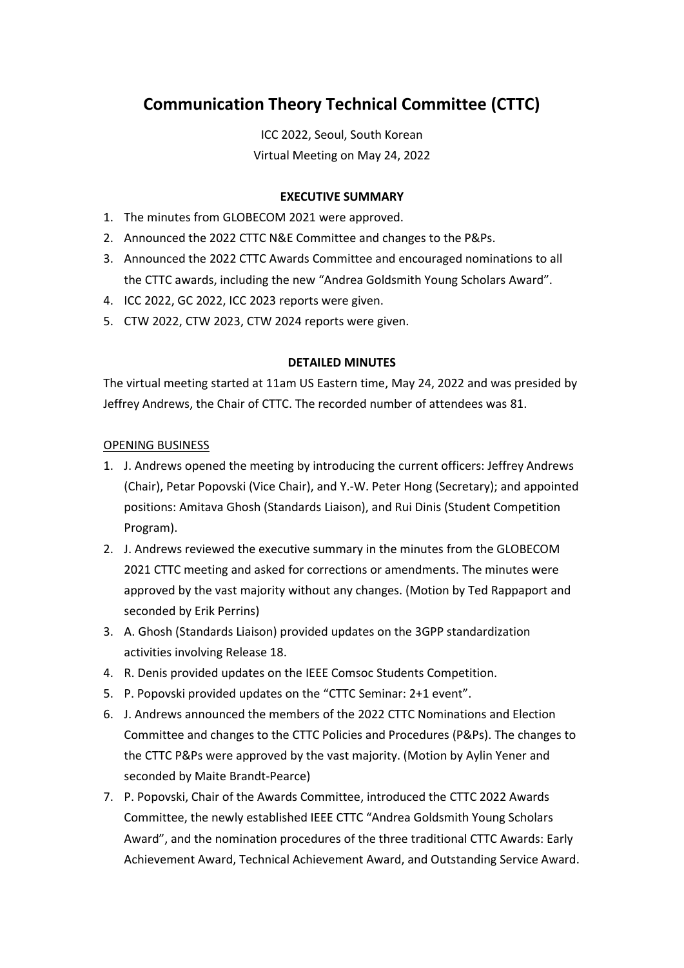# **Communication Theory Technical Committee (CTTC)**

ICC 2022, Seoul, South Korean Virtual Meeting on May 24, 2022

## **EXECUTIVE SUMMARY**

- 1. The minutes from GLOBECOM 2021 were approved.
- 2. Announced the 2022 CTTC N&E Committee and changes to the P&Ps.
- 3. Announced the 2022 CTTC Awards Committee and encouraged nominations to all the CTTC awards, including the new "Andrea Goldsmith Young Scholars Award".
- 4. ICC 2022, GC 2022, ICC 2023 reports were given.
- 5. CTW 2022, CTW 2023, CTW 2024 reports were given.

## **DETAILED MINUTES**

The virtual meeting started at 11am US Eastern time, May 24, 2022 and was presided by Jeffrey Andrews, the Chair of CTTC. The recorded number of attendees was 81.

## OPENING BUSINESS

- 1. J. Andrews opened the meeting by introducing the current officers: Jeffrey Andrews (Chair), Petar Popovski (Vice Chair), and Y.-W. Peter Hong (Secretary); and appointed positions: Amitava Ghosh (Standards Liaison), and Rui Dinis (Student Competition Program).
- 2. J. Andrews reviewed the executive summary in the minutes from the GLOBECOM 2021 CTTC meeting and asked for corrections or amendments. The minutes were approved by the vast majority without any changes. (Motion by Ted Rappaport and seconded by Erik Perrins)
- 3. A. Ghosh (Standards Liaison) provided updates on the 3GPP standardization activities involving Release 18.
- 4. R. Denis provided updates on the IEEE Comsoc Students Competition.
- 5. P. Popovski provided updates on the "CTTC Seminar: 2+1 event".
- 6. J. Andrews announced the members of the 2022 CTTC Nominations and Election Committee and changes to the CTTC Policies and Procedures (P&Ps). The changes to the CTTC P&Ps were approved by the vast majority. (Motion by Aylin Yener and seconded by Maite Brandt-Pearce)
- 7. P. Popovski, Chair of the Awards Committee, introduced the CTTC 2022 Awards Committee, the newly established IEEE CTTC "Andrea Goldsmith Young Scholars Award", and the nomination procedures of the three traditional CTTC Awards: Early Achievement Award, Technical Achievement Award, and Outstanding Service Award.